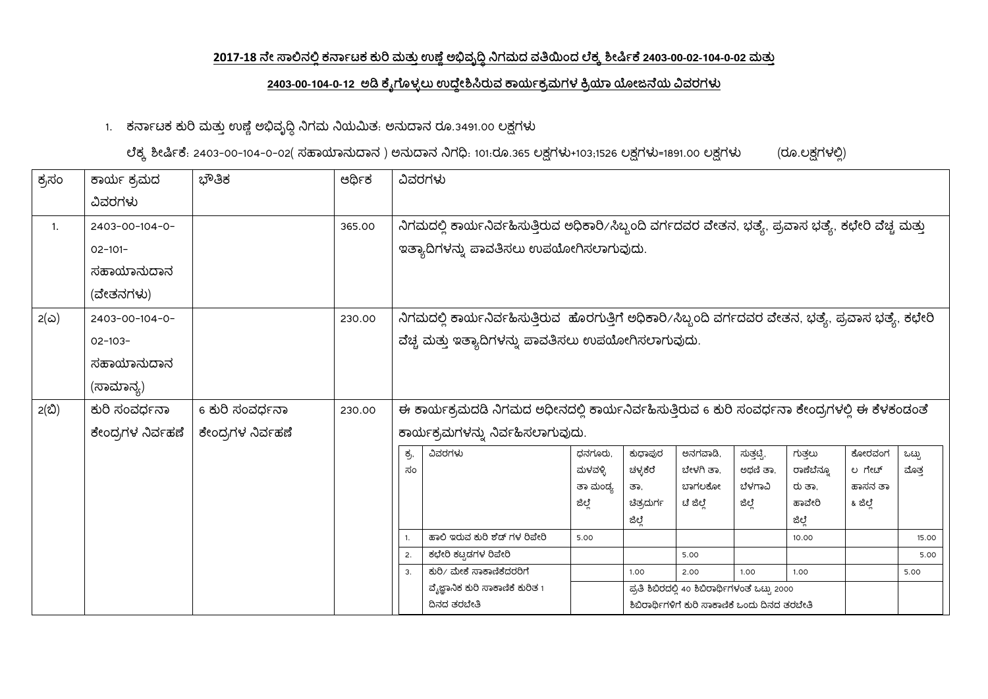## <u>2017-18 ನೇ ಸಾಲಿನಲ್ಲಿ ಕರ್ನಾಟಕ ಕುರಿ ಮತ್ತು ಉಣ್ಣೆ ಅಭಿವೃದ್ಧಿ ನಿಗಮದ ವತಿಯಿಂದ ಲೆಕ್ಕ ಶೀರ್ಷಿಕೆ 2403-00-02-104-0-02 ಮತ್ತು</u>

## 2403-00-104-0-12 ಅಡಿ ಕೈಗೊಳ್ಳಲು ಉದ್ದೇಶಿಸಿರುವ ಕಾರ್ಯಕ್ರಮಗಳ ಕ್ರಿಯಾ ಯೋಜನೆಯ ವಿವರಗಳು

1. ಕರ್ನಾಟಕ ಕುರಿ ಮತ್ತು ಉಣ್ಣೆ ಅಭಿವೃದ್ಧಿ ನಿಗಮ ನಿಯಮಿತ. ಅನುದಾನ ರೂ.3491.00 ಲಕ್ಷಗಳು

ಲೆಕ್ಕ ಶೀರ್ಷಿಕೆ. 2403-00-104-0-02( ಸಹಾಯಾನುದಾನ ) ಅನುದಾನ ನಿಗಧಿ. 101:ರೂ.365 ಲಕ್ಷಗಳು+103;1526 ಲಕ್ಷಗಳು=1891.00 ಲಕ್ಷಗಳು (ರೂ.ಲಕ್ಷಗಳಲ್ಲಿ)

| ಕ್ರಸಂ       | ಕಾರ್ಯ ಕ್ರಮದ       | ಭೌತಿಕ             | ಆರ್ಥಿಕ | ವಿವರಗಳು          |                                                                                                       |          |                   |                                                |                   |                  |                     |       |
|-------------|-------------------|-------------------|--------|------------------|-------------------------------------------------------------------------------------------------------|----------|-------------------|------------------------------------------------|-------------------|------------------|---------------------|-------|
|             | ವಿವರಗಳು           |                   |        |                  |                                                                                                       |          |                   |                                                |                   |                  |                     |       |
| 1.          | 2403-00-104-0-    |                   | 365.00 |                  | ನಿಗಮದಲ್ಲಿ ಕಾರ್ಯನಿರ್ವಹಿಸುತ್ತಿರುವ ಅಧಿಕಾರಿ/ಸಿಬ್ಬಂದಿ ವರ್ಗದವರ ವೇತನ, ಭತ್ಯೆ, ಪ್ರವಾಸ ಭತ್ಯೆ, ಕಛೇರಿ ವೆಚ್ಚ ಮತ್ತು |          |                   |                                                |                   |                  |                     |       |
|             | $02 - 101 -$      |                   |        |                  | ಇತ್ಯಾದಿಗಳನ್ನು ಪಾವತಿಸಲು ಉಪಯೋಗಿಸಲಾಗುವುದು.                                                               |          |                   |                                                |                   |                  |                     |       |
|             | ಸಹಾಯಾನುದಾನ        |                   |        |                  |                                                                                                       |          |                   |                                                |                   |                  |                     |       |
|             | (ವೇತನಗಳು)         |                   |        |                  |                                                                                                       |          |                   |                                                |                   |                  |                     |       |
| $2(\omega)$ | 2403-00-104-0-    |                   | 230.00 |                  | ನಿಗಮದಲ್ಲಿ ಕಾರ್ಯನಿರ್ವಹಿಸುತ್ತಿರುವ ಹೊರಗುತ್ತಿಗೆ ಅಧಿಕಾರಿ/ಸಿಬ್ಬಂದಿ ವರ್ಗದವರ ವೇತನ, ಭತ್ಯೆ, ಪ್ರವಾಸ ಭತ್ಯೆ, ಕಛೇರಿ |          |                   |                                                |                   |                  |                     |       |
|             | $02 - 103 -$      |                   |        |                  | ವೆಚ್ಚ ಮತ್ತು ಇತ್ಯಾದಿಗಳನ್ನು ಪಾವತಿಸಲು ಉಪಯೋಗಿಸಲಾಗುವುದು.                                                   |          |                   |                                                |                   |                  |                     |       |
|             | ಸಹಾಯಾನುದಾನ        |                   |        |                  |                                                                                                       |          |                   |                                                |                   |                  |                     |       |
|             | (ಸಾಮಾನ್ಯ)         |                   |        |                  |                                                                                                       |          |                   |                                                |                   |                  |                     |       |
| 2(ಬಿ)       | ಕುರಿ ಸಂವರ್ಧನಾ     | 6 ಕುರಿ ಸಂವರ್ಧನಾ   | 230.00 |                  | ಈ ಕಾರ್ಯಕ್ರಮದಡಿ ನಿಗಮದ ಅಧೀನದಲ್ಲಿ ಕಾರ್ಯನಿರ್ವಹಿಸುತ್ತಿರುವ 6 ಕುರಿ ಸಂವರ್ಧನಾ ಕೇಂದ್ರಗಳಲ್ಲಿ ಈ ಕೆಳಕಂಡಂತೆ         |          |                   |                                                |                   |                  |                     |       |
|             | ಕೇಂದ್ರಗಳ ನಿರ್ವಹಣೆ | ಕೇಂದ್ರಗಳ ನಿರ್ವಹಣೆ |        |                  | ಕಾರ್ಯಕ್ರಮಗಳನ್ನು ನಿರ್ವಹಿಸಲಾಗುವುದು.                                                                     |          |                   |                                                |                   |                  |                     |       |
|             |                   |                   |        | ಕ್ರ,             | ವಿವರಗಳು                                                                                               | ಧನಗೂರು,  | ಕುಧಾಪುರ           | ಅನಗವಾಡಿ,                                       | ಸುತ್ತಟ್ಟಿ,        | ಗುತ್ತಲು          | ಕೋರವಂಗ              | ಒಟ್ಟು |
|             |                   |                   |        | ಸಂ               |                                                                                                       | ಮಳವಳ್ಳಿ  | ಚಳ್ಳಕೆರೆ          | ಬೇಳಗಿ ತಾ,                                      | ಅಥಣಿ ತಾ,          | ರಾಣೆಬೆನ್ನೂ       | ಲ ಗೇಟ್              | ಮೊತ್ತ |
|             |                   |                   |        |                  |                                                                                                       | ತಾ ಮಂದ್ಯ | ತಾ.<br>ಚಿತ್ರದುರ್ಗ | ಬಾಗಲಕೋ<br>ಟೆ ಜಿಲ್ಲೆ                            | ಬೆಳಗಾವಿ<br>ಜಿಲ್ಲೆ | ರು ತಾ.<br>ಹಾವೇರಿ | ಹಾಸನ ತಾ<br>೩ ಜಿಲ್ಲೆ |       |
|             |                   |                   |        |                  |                                                                                                       | ಜಿಲ್ಲೆ   | ಜಿಲ್ಲೆ            |                                                |                   | ಜಿಲ್ಲೆ           |                     |       |
|             |                   |                   |        | 1.               | ಹಾಲಿ ಇರುವ ಕುರಿ ಶೆಡ್ ಗಳ ರಿಪೇರಿ                                                                         | 5.00     |                   |                                                |                   | 10.00            |                     | 15.00 |
|             |                   |                   |        | 2.               | ಕಛೇರಿ ಕಟ್ಟಡಗಳ ರಿಪೇರಿ                                                                                  |          |                   | 5.00                                           |                   |                  |                     | 5.00  |
|             |                   |                   |        | $\overline{3}$ . | ಕುರಿ/ ಮೇಕೆ ಸಾಕಾಣಿಕೆದರರಿಗೆ                                                                             |          | 1.00              | 2.00                                           | 1.00              | 1.00             |                     | 5.00  |
|             |                   |                   |        |                  | ವೈಜ್ಞಾನಿಕ ಕುರಿ ಸಾಕಾಣಿಕೆ ಕುರಿತ 1                                                                       |          |                   | ಪ್ರತಿ ಶಿಬಿರದಲ್ಲಿ 40 ಶಿಬಿರಾರ್ಥಿಗಳಂತೆ ಒಟ್ಟು 2000 |                   |                  |                     |       |
|             |                   |                   |        |                  | ದಿನದ ತರಬೇತಿ                                                                                           |          |                   | ಶಿಬಿರಾರ್ಥಿಗಳಿಗೆ ಕುರಿ ಸಾಕಾಣಿಕೆ ಒಂದು ದಿನದ ತರಬೇತಿ |                   |                  |                     |       |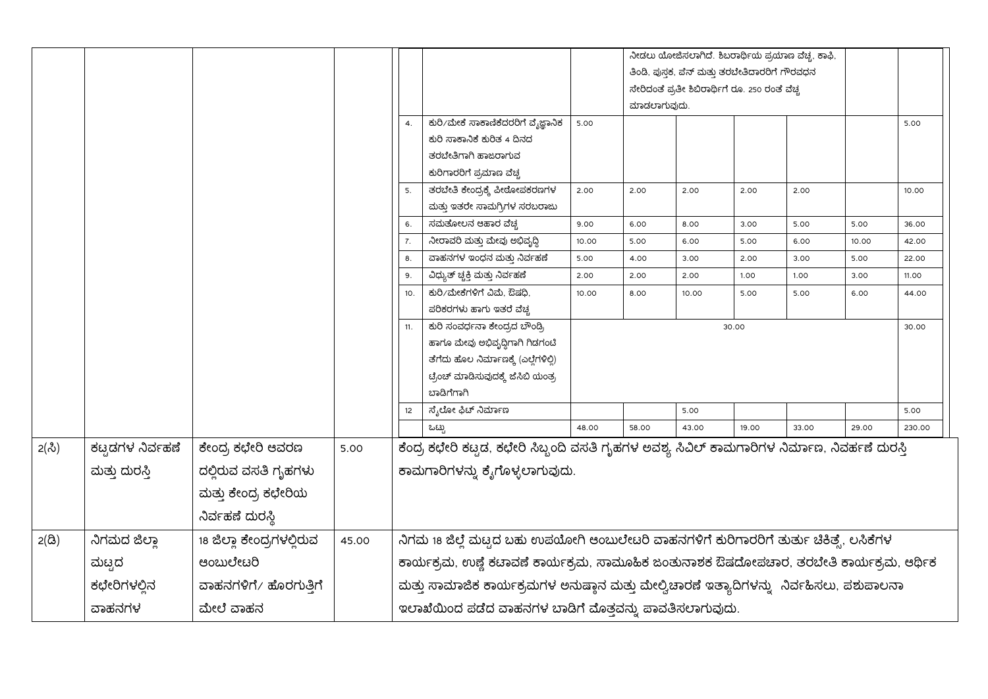|                  |                  |                           |       |                                                         |                                                                                                |       |              | ತಿಂಡಿ, ಪುಸ್ತಕ, ಪೆನ್ ಮತ್ತು ತರಬೇತಿದಾರರಿಗೆ ಗೌರವಧನ<br>ಸೇರಿದಂತೆ ಪ್ರತೀ ಶಿಬಿರಾರ್ಥಿಗೆ ರೂ. 250 ರಂತೆ ವೆಚ್ಚ |       | ನೀಡಲು ಯೋಜಿಸಲಾಗಿದೆ. ಶಿಬರಾರ್ಥಿಯ ಪ್ರಯಾಣ ವೆಚ್ಚ, ಕಾಫಿ, |       |        |
|------------------|------------------|---------------------------|-------|---------------------------------------------------------|------------------------------------------------------------------------------------------------|-------|--------------|--------------------------------------------------------------------------------------------------|-------|---------------------------------------------------|-------|--------|
|                  |                  |                           |       |                                                         |                                                                                                |       | ಮಾಡಲಾಗುವುದು. |                                                                                                  |       |                                                   |       |        |
|                  |                  |                           |       | 4.                                                      | ಕುರಿ/ಮೇಕೆ ಸಾಕಾಣಿಕೆದರರಿಗೆ ವೈಜ್ಞಾನಿಕ                                                             | 5.00  |              |                                                                                                  |       |                                                   |       | 5.00   |
|                  |                  |                           |       |                                                         | ಕುರಿ ಸಾಕಾನಿಕೆ ಕುರಿತ 4 ದಿನದ                                                                     |       |              |                                                                                                  |       |                                                   |       |        |
|                  |                  |                           |       |                                                         | ತರಬೇತಿಗಾಗಿ ಹಾಜರಾಗುವ                                                                            |       |              |                                                                                                  |       |                                                   |       |        |
|                  |                  |                           |       |                                                         | ಕುರಿಗಾರರಿಗೆ ಪ್ರಮಾಣ ವೆಚ್ಚ                                                                       |       |              |                                                                                                  |       |                                                   |       |        |
|                  |                  |                           |       | 5.                                                      | ತರಬೇತಿ ಕೇಂದ್ರಕ್ಕೆ ಪೀಠೋಪಕರಣಗಳ                                                                   | 2.00  | 2.00         | 2.00                                                                                             | 2.00  | 2.00                                              |       | 10.00  |
|                  |                  |                           |       |                                                         | ಮತ್ತು ಇತರೇ ಸಾಮಗ್ರಿಗಳ ಸರಬರಾಜು                                                                   |       |              |                                                                                                  |       |                                                   |       |        |
|                  |                  |                           |       | 6.                                                      | ಸಮತೋಲನ ಆಹಾರ ವೆಚ್ಚ                                                                              | 9.00  | 6.00         | 8.00                                                                                             | 3.00  | 5.00                                              | 5.00  | 36.00  |
|                  |                  |                           |       | 7.                                                      | ನೀರಾವರಿ ಮತ್ತು ಮೇವು ಅಭಿವೃದ್ಧಿ                                                                   | 10.00 | 5.00         | 6.00                                                                                             | 5.00  | 6.00                                              | 10.00 | 42.00  |
|                  |                  |                           |       | 8.                                                      | ವಾಹನಗಳ ಇಂಧನ ಮತ್ತು ನಿರ್ವಹಣೆ                                                                     | 5.00  | 4.00         | 3.00                                                                                             | 2.00  | 3.00                                              | 5.00  | 22.00  |
|                  |                  |                           |       | 9.                                                      | ವಿಧ್ಯುತ್ ಚ್ಚಕ್ತಿ ಮತ್ತು ನಿರ್ವಹಣೆ                                                                | 2.00  | 2.00         | 2.00                                                                                             | 1.00  | 1.00                                              | 3.00  | 11.00  |
|                  |                  |                           |       | 10.                                                     | ಕುರಿ⁄ಮೇಕೆಗಳಿಗೆ ವಿಮೆ, ಔಷಧಿ,                                                                     | 10.00 | 8.00         | 10.00                                                                                            | 5.00  | 5.00                                              | 6.00  | 44.00  |
|                  |                  |                           |       |                                                         | ಪರಿಕರಗಳು ಹಾಗು ಇತರೆ ವೆಚ್ಚ                                                                       |       |              |                                                                                                  |       |                                                   |       |        |
|                  |                  |                           |       | 11.                                                     | ಕುರಿ ಸಂವರ್ಧನಾ ಕೇಂದ್ರದ ಬೌಂಡ್ರಿ                                                                  |       |              |                                                                                                  | 30.00 |                                                   |       | 30.00  |
|                  |                  |                           |       |                                                         | ಹಾಗೂ ಮೇವು ಅಭಿವೃದ್ಧಿಗಾಗಿ ಗಿಡಗಂಟಿ                                                                |       |              |                                                                                                  |       |                                                   |       |        |
|                  |                  |                           |       |                                                         | ತೆಗೆದು ಹೊಲ ನಿರ್ಮಾಣಕ್ಕೆ (ಎಲ್ಲೆಗಳಿಲ್ಲಿ)                                                          |       |              |                                                                                                  |       |                                                   |       |        |
|                  |                  |                           |       |                                                         | ಟ್ರೆಂಚ್ ಮಾಡಿಸುವುದಕ್ಕೆ ಜೆಸಿಬಿ ಯಂತ್ರ                                                             |       |              |                                                                                                  |       |                                                   |       |        |
|                  |                  |                           |       |                                                         | ಬಾದಿಗೆಗಾಗಿ                                                                                     |       |              |                                                                                                  |       |                                                   |       |        |
|                  |                  |                           |       | 12                                                      | ಸೈಲೋ ಫಿಟ್ ನಿರ್ಮಾಣ                                                                              | 48.00 |              | 5.00                                                                                             |       |                                                   |       | 5.00   |
|                  |                  |                           |       |                                                         | ಒಟ್ರು                                                                                          |       | 58.00        | 43.00                                                                                            | 19.00 | 33.00                                             | 29.00 | 230.00 |
| $2(\mathcal{S})$ | ಕಟ್ಟಡಗಳ ನಿರ್ವಹಣೆ | ಕೇಂದ್ರ ಕಛೇರಿ ಆವರಣ         | 5.00  |                                                         | ಕೆಂದ್ರ ಕಛೇರಿ ಕಟ್ಟಡ, ಕಛೇರಿ ಸಿಬ್ಬಂದಿ ವಸತಿ ಗೃಹಗಳ ಅವಶ್ಯ ಸಿವಿಲ್ ಕಾಮಗಾರಿಗಳ ನಿರ್ಮಾಣ, ನಿವರ್ಹಣೆ ದುರಸ್ತಿ |       |              |                                                                                                  |       |                                                   |       |        |
|                  | ಮತ್ತು ದುರಸ್ತಿ    | ದಲ್ಲಿರುವ ವಸತಿ ಗೃಹಗಳು      |       |                                                         | ಕಾಮಗಾರಿಗಳನ್ನು ಕೈಗೊಳ್ಳಲಾಗುವುದು.                                                                 |       |              |                                                                                                  |       |                                                   |       |        |
|                  |                  | ಮತ್ತು ಕೇಂದ್ರ ಕಛೇರಿಯ       |       |                                                         |                                                                                                |       |              |                                                                                                  |       |                                                   |       |        |
|                  |                  | ನಿರ್ವಹಣೆ ದುರಸ್ಥಿ          |       |                                                         |                                                                                                |       |              |                                                                                                  |       |                                                   |       |        |
| $2(\delta)$      | ನಿಗಮದ ಜಿಲ್ಲಾ     | 18 ಜಿಲ್ಲಾ ಕೇಂದ್ರಗಳಲ್ಲಿರುವ | 45.00 |                                                         | ನಿಗಮ 18 ಜಿಲ್ಲೆ ಮಟ್ಟದ ಬಹು ಉಪಯೋಗಿ ಆಂಬುಲೇಟರಿ ವಾಹನಗಳಿಗೆ ಕುರಿಗಾರರಿಗೆ ತುರ್ತು ಚಿಕಿತ್ಸ್ರೆ ಲಸಿಕೆಗಳ      |       |              |                                                                                                  |       |                                                   |       |        |
|                  | ಮಟ್ಟದ            | ಆಂಬುಲೇಟರಿ                 |       |                                                         | ಕಾರ್ಯಕ್ರಮ, ಉಪ್ಲೆ ಕಟಾವಣೆ ಕಾರ್ಯಕ್ರಮ, ಸಾಮೂಹಿಕ ಜಂತುನಾಶಕ ಔಷದೋಪಚಾರ, ತರಬೇತಿ ಕಾರ್ಯಕ್ರಮ, ಆರ್ಥಿಕ         |       |              |                                                                                                  |       |                                                   |       |        |
|                  | ಕಛೇರಿಗಳಲ್ಲಿನ     | ವಾಹನಗಳಿಗೆ/ ಹೊರಗುತ್ತಿಗೆ    |       |                                                         | ಮತ್ತು ಸಾಮಾಜಿಕ ಕಾರ್ಯಕ್ರಮಗಳ ಅನುಷ್ಠಾನ ಮತ್ತು ಮೇಲ್ವಿಚಾರಣೆ ಇತ್ಯಾದಿಗಳನ್ನು ನಿರ್ವಹಿಸಲು, ಪಶುಪಾಲನಾ        |       |              |                                                                                                  |       |                                                   |       |        |
|                  | ವಾಹನಗಳ           | ಮೇಲೆ ವಾಹನ                 |       | ಇಲಾಖೆಯಿಂದ ಪಡೆದ ವಾಹನಗಳ ಬಾಡಿಗೆ ಮೊತ್ತವನ್ನು ಪಾವತಿಸಲಾಗುವುದು. |                                                                                                |       |              |                                                                                                  |       |                                                   |       |        |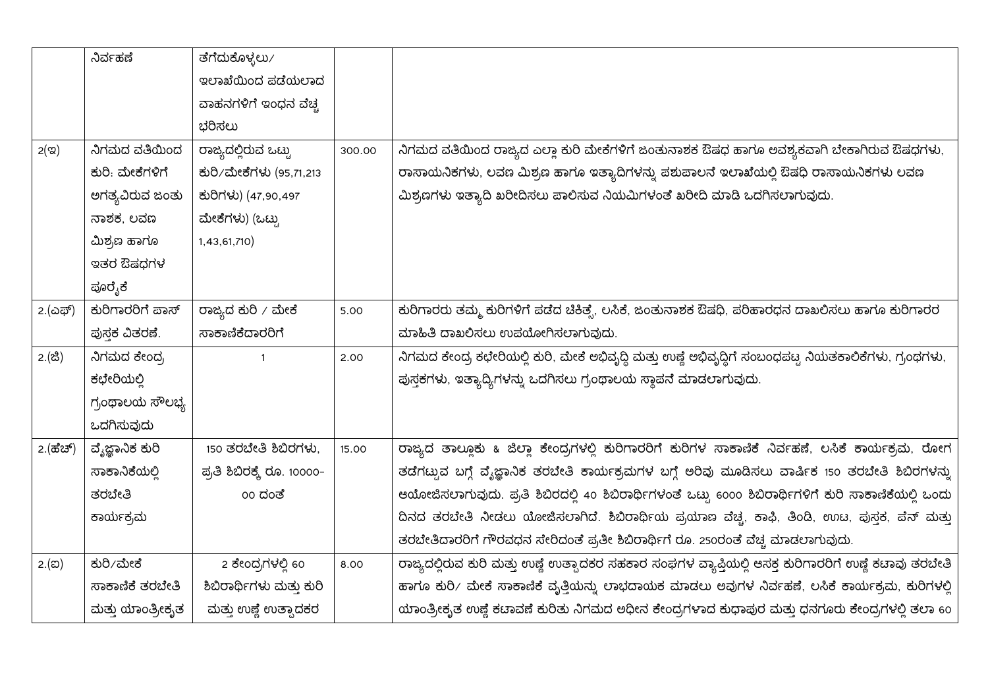|                                   | ನಿರ್ವಹಣೆ         | ತೆಗೆದುಕೊಳ್ಳಲು ⁄            |        |                                                                                                         |
|-----------------------------------|------------------|----------------------------|--------|---------------------------------------------------------------------------------------------------------|
|                                   |                  | ಇಲಾಖೆಯಿಂದ ಪಡೆಯಲಾದ          |        |                                                                                                         |
|                                   |                  | ವಾಹನಗಳಿಗೆ ಇಂಧನ ವೆಚ್ಚ       |        |                                                                                                         |
|                                   |                  | ಭರಿಸಲು                     |        |                                                                                                         |
| $2($ ಇ $)$                        | ನಿಗಮದ ವತಿಯಿಂದ    | ರಾಜ್ಯದಲ್ಲಿರುವ ಒಟ್ಟು        | 300.00 | ನಿಗಮದ ವತಿಯಿಂದ ರಾಜ್ಯದ ಎಲ್ಲಾ ಕುರಿ ಮೇಕೆಗಳಿಗೆ ಜಂತುನಾಶಕ ಔಷಧ ಹಾಗೂ ಅವಶ್ಯಕವಾಗಿ ಬೇಕಾಗಿರುವ ಔಷಧಗಳು,                |
|                                   | ಕುರಿ. ಮೇಕೆಗಳಿಗೆ  | ಕುರಿ/ಮೇಕೆಗಳು (95,71,213    |        | ರಾಸಾಯನಿಕಗಳು, ಲವಣ ಮಿಶ್ರಣ ಹಾಗೂ ಇತ್ಯಾದಿಗಳನ್ನು ಪಶುಪಾಲನೆ ಇಲಾಖೆಯಲ್ಲಿ ಔಷಧಿ ರಾಸಾಯನಿಕಗಳು ಲವಣ                     |
|                                   | ಅಗತ್ಯವಿರುವ ಜಂತು  | ಕುರಿಗಳು) (47,90,497        |        | ಮಿಶ್ರಣಗಳು ಇತ್ಯಾದಿ ಖರೀದಿಸಲು ಪಾಲಿಸುವ ನಿಯಮಿಗಳಂತೆ ಖರೀದಿ ಮಾಡಿ ಒದಗಿಸಲಾಗುವುದು.                                 |
|                                   | ನಾಶಕ, ಲವಣ        | ಮೇಕೆಗಳು) (ಒಟ್ಟು            |        |                                                                                                         |
|                                   | ಮಿಶ್ರಣ ಹಾಗೂ      | 1,43,61,710)               |        |                                                                                                         |
|                                   | ಇತರ ಔಷಧಗಳ        |                            |        |                                                                                                         |
|                                   | ಪೂರೈಕೆ           |                            |        |                                                                                                         |
| 2.(ಎಫ್)                           | ಕುರಿಗಾರರಿಗೆ ಪಾಸ್ | ರಾಜ್ಯದ ಕುರಿ / ಮೇಕೆ         | 5.00   | ಕುರಿಗಾರರು ತಮ್ಮ ಕುರಿಗಳಿಗೆ ಪಡೆದ ಚಿಕಿತ್ಸೆ, ಲಸಿಕೆ, ಜಂತುನಾಶಕ ಔಷಧಿ, ಪರಿಹಾರಧನ ದಾಖಲಿಸಲು ಹಾಗೂ ಕುರಿಗಾರರ           |
|                                   | ಪುಸಕ ವಿತರಣೆ.     | ಸಾಕಾಣಿಕೆದಾರರಿಗೆ            |        | ಮಾಹಿತಿ ದಾಖಲಿಸಲು ಉಪಯೋಗಿಸಲಾಗುವುದು.                                                                        |
| 2.(ಜಿ)                            | ನಿಗಮದ ಕೇಂದ್ರ     | $\mathbf{1}$               | 2.00   | ನಿಗಮದ ಕೇಂದ್ರ ಕಛೇರಿಯಲ್ಲಿ ಕುರಿ, ಮೇಕೆ ಅಭಿವೃದ್ಧಿ ಮತ್ತು ಉಣ್ಣೆ ಅಭಿವೃದ್ಧಿಗೆ ಸಂಬಂಧಪಟ್ಟ ನಿಯತಕಾಲಿಕೆಗಳು, ಗ್ರಂಥಗಳು, |
|                                   | ಕಛೇರಿಯಲ್ಲಿ       |                            |        | ಪುಸ್ತಕಗಳು, ಇತ್ಯಾದ್ಯಿಗಳನ್ನು ಒದಗಿಸಲು ಗ್ರಂಥಾಲಯ ಸ್ಥಾಪನೆ ಮಾಡಲಾಗುವುದು.                                        |
|                                   | ಗ್ರಂಥಾಲಯ ಸೌಲಭ್ಯ  |                            |        |                                                                                                         |
|                                   | ಒದಗಿಸುವುದು       |                            |        |                                                                                                         |
| 2. $(d\vec{\theta}d\vec{\theta})$ | ವ್ಯೆಜ್ಞಾನಿಕ ಕುರಿ | 150 ತರಬೇತಿ ಶಿಬಿರಗಳು,       | 15.00  | ರಾಜ್ಯದ ತಾಲ್ಲೂಕು & ಜಿಲ್ಲಾ ಕೇಂದ್ರಗಳಲ್ಲಿ ಕುರಿಗಾರರಿಗೆ ಕುರಿಗಳ ಸಾಕಾಣಿಕೆ ನಿರ್ವಹಣೆ, ಲಸಿಕೆ ಕಾರ್ಯಕ್ರಮ, ರೋಗ        |
|                                   | ಸಾಕಾನಿಕೆಯಲ್ಲಿ    | ಪ್ರತಿ ಶಿಬಿರಕ್ಕೆ ರೂ. 10000- |        | ತಡೆಗಟ್ಟುವ ಬಗ್ಗೆ ವ್ಯೆಜ್ಞಾನಿಕ ತರಬೇತಿ ಕಾರ್ಯಕ್ರಮಗಳ ಬಗ್ಗೆ ಅರಿವು ಮೂಡಿಸಲು ವಾರ್ಷಿಕ 150 ತರಬೇತಿ ಶಿಬಿರಗಳನ್ನು       |
|                                   | ತರಬೇತಿ           | 00 ದಂತೆ                    |        | ಆಯೋಜಿಸಲಾಗುವುದು. ಪ್ರತಿ ಶಿಬಿರದಲ್ಲಿ 40 ಶಿಬಿರಾರ್ಥಿಗಳಂತೆ ಒಟ್ಟು 6000 ಶಿಬಿರಾರ್ಥಿಗಳಿಗೆ ಕುರಿ ಸಾಕಾಣಿಕೆಯಲ್ಲಿ ಒಂದು  |
|                                   | ಕಾರ್ಯಕ್ರಮ        |                            |        | ದಿನದ ತರಬೇತಿ ನೀಡಲು ಯೋಜಿಸಲಾಗಿದೆ. ಶಿಬಿರಾರ್ಥಿಯ ಪ್ರಯಾಣ ವೆಚ್ಚ, ಕಾಫಿ, ತಿಂಡಿ, ಉಟ, ಪುಸ್ತಕ, ಪೆನ್ ಮತ್ತು            |
|                                   |                  |                            |        | ತರಬೇತಿದಾರರಿಗೆ ಗೌರವಧನ ಸೇರಿದಂತೆ ಪ್ರತೀ ಶಿಬಿರಾರ್ಥಿಗೆ ರೂ. 250ರಂತೆ ವೆಚ್ಚ ಮಾಡಲಾಗುವುದು.                         |
| 2.(ಐ)                             | ಕುರಿ/ಮೇಕೆ        | 2 ಕೇಂದ್ರಗಳಲ್ಲಿ 60          | 8.00   | ರಾಜ್ಯದಲ್ಲಿರುವ ಕುರಿ ಮತ್ತು ಉಣ್ಣೆ ಉತ್ಪಾದಕರ ಸಹಕಾರ ಸಂಘಗಳ ವ್ಯಾಪ್ತಿಯಲ್ಲಿ ಆಸಕ್ತ ಕುರಿಗಾರರಿಗೆ ಉಣ್ಣೆ ಕಟಾವು ತರಬೇತಿ  |
|                                   | ಸಾಕಾಣಿಕೆ ತರಬೇತಿ  | ಶಿಬಿರಾರ್ಥಿಗಳು ಮತ್ತು ಕುರಿ   |        | ಹಾಗೂ ಕುರಿ/ ಮೇಕೆ ಸಾಕಾಣಿಕೆ ವೃತ್ತಿಯನ್ನು ಲಾಭದಾಯಕ ಮಾಡಲು ಅವುಗಳ ನಿರ್ವಹಣೆ, ಲಸಿಕೆ ಕಾರ್ಯಕ್ರಮ, ಕುರಿಗಳಲ್ಲಿ          |
|                                   | ಮತ್ತು ಯಾಂತ್ರೀಕೃತ | ಮತ್ತು ಉಣ್ಣೆ ಉತ್ಪಾದಕರ       |        | ಯಾಂತ್ರೀಕೃತ ಉಷ್ಣೆ ಕಟಾವಣೆ ಕುರಿತು ನಿಗಮದ ಅಧೀನ ಕೇಂದ್ರಗಳಾದ ಕುಧಾಪುರ ಮತ್ತು ಧನಗೂರು ಕೇಂದ್ರಗಳಲ್ಲಿ ತಲಾ 60           |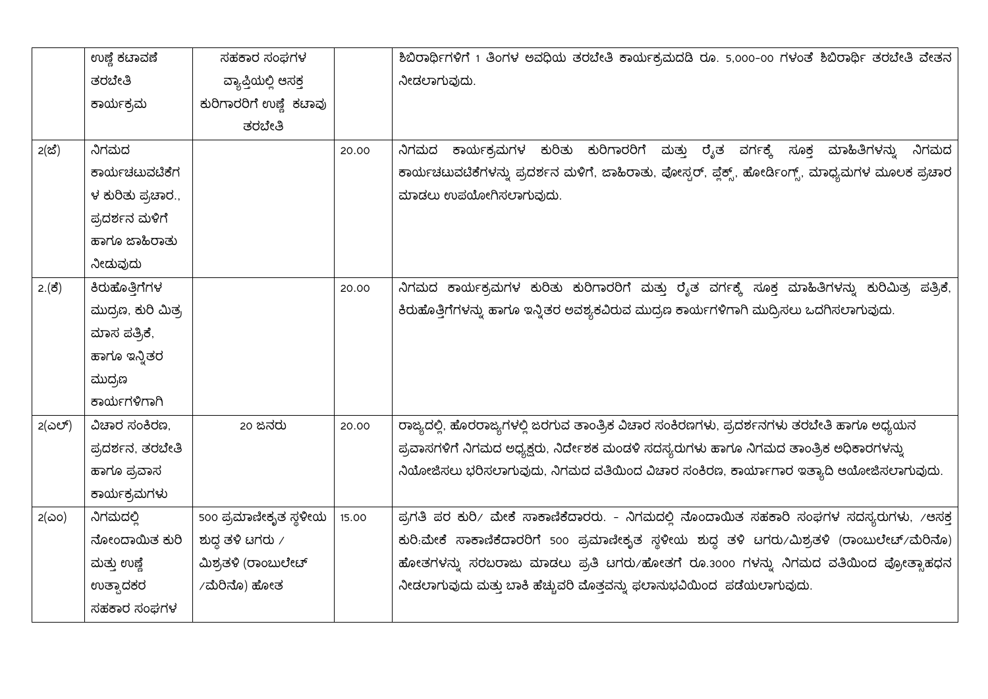|               | ಉಣ್ಣೆ ಕಟಾವಣೆ       | ಸಹಕಾರ ಸಂಘಗಳ             |       | ಶಿಬಿರಾರ್ಥಿಗಳಿಗೆ 1 ತಿಂಗಳ ಅವಧಿಯ ತರಬೇತಿ ಕಾರ್ಯಕ್ರಮದಡಿ ರೂ. 5,000-00 ಗಳಂತೆ ಶಿಬಿರಾರ್ಥಿ ತರಬೇತಿ ವೇತನ        |
|---------------|--------------------|-------------------------|-------|----------------------------------------------------------------------------------------------------|
|               | ತರಬೇತಿ             | ವ್ಯಾಪ್ತಿಯಲ್ಲಿ ಆಸಕ್ತ     |       | ನೀಡಲಾಗುವುದು.                                                                                       |
|               | ಕಾರ್ಯಕ್ರಮ          | ಕುರಿಗಾರರಿಗೆ ಉಣ್ಣೆ ಕಟಾವು |       |                                                                                                    |
|               |                    | ತರಬೇತಿ                  |       |                                                                                                    |
| 2(25)         | ನಿಗಮದ              |                         | 20.00 | ನಿಗಮದ ಕಾರ್ಯಕ್ರಮಗಳ ಕುರಿತು ಕುರಿಗಾರರಿಗೆ ಮತ್ತು ರೈತ ವರ್ಗಕ್ಕೆ ಸೂಕ್ತ ಮಾಹಿತಿಗಳನ್ನು ನಿಗಮದ                   |
|               | ಕಾರ್ಯಚಟುವಟಿಕೆಗ     |                         |       | ಕಾರ್ಯಚಟುವಟಿಕೆಗಳನ್ನು ಪ್ರದರ್ಶನ ಮಳಿಗೆ, ಜಾಹಿರಾತು, ಪೋಸ್ಟರ್, ಪ್ಲೆಕ್ಸ್, ಹೋರ್ಡಿಂಗ್ಸ್, ಮಾಧ್ಯಮಗಳ ಮೂಲಕ ಪ್ರಚಾರ |
|               | ಳ ಕುರಿತು ಪ್ರಚಾರ.,  |                         |       | ಮಾಡಲು ಉಪಯೋಗಿಸಲಾಗುವುದು.                                                                             |
|               | ಪ್ರದರ್ಶನ ಮಳಿಗೆ     |                         |       |                                                                                                    |
|               | ಹಾಗೂ ಜಾಹಿರಾತು      |                         |       |                                                                                                    |
|               | ನೀಡುವುದು           |                         |       |                                                                                                    |
| $2.(\vec{5})$ | ಕಿರುಹೊತ್ತಿಗೆಗಳ     |                         | 20.00 | ನಿಗಮದ ಕಾರ್ಯಕ್ರಮಗಳ ಕುರಿತು ಕುರಿಗಾರರಿಗೆ ಮತ್ತು ರೈತ ವರ್ಗಕ್ಕೆ ಸೂಕ್ತ ಮಾಹಿತಿಗಳನ್ನು ಕುರಿಮಿತ್ರ ಪತ್ರಿಕೆ,      |
|               | ಮುದ್ರಣ, ಕುರಿ ಮಿತ್ರ |                         |       | ಕಿರುಹೊತ್ತಿಗೆಗಳನ್ನು ಹಾಗೂ ಇನ್ನಿತರ ಅವಶ್ಯಕವಿರುವ ಮುದ್ರಣ ಕಾರ್ಯಗಳಿಗಾಗಿ ಮುದ್ರಿಸಲು ಒದಗಿಸಲಾಗುವುದು.           |
|               | ಮಾಸ ಪತ್ರಿಕೆ,       |                         |       |                                                                                                    |
|               | ಹಾಗೂ ಇನ್ನಿತರ       |                         |       |                                                                                                    |
|               | ಮುದ್ರಣ             |                         |       |                                                                                                    |
|               | ಕಾರ್ಯಗಳಿಗಾಗಿ       |                         |       |                                                                                                    |
| 2(ಎಲ್)        | ವಿಚಾರ ಸಂಕಿರಣ,      | 20 ಜನರು                 | 20.00 | ರಾಜ್ಯದಲ್ಲಿ, ಹೊರರಾಜ್ಯಗಳಲ್ಲಿ ಜರಗುವ ತಾಂತ್ರಿಕ ವಿಚಾರ ಸಂಕಿರಣಗಳು, ಪ್ರದರ್ಶನಗಳು ತರಬೇತಿ ಹಾಗೂ ಅಧ್ಯಯನ          |
|               | ಪ್ರದರ್ಶನ, ತರಬೇತಿ   |                         |       | ಪ್ರವಾಸಗಳಿಗೆ ನಿಗಮದ ಅಧ್ಯಕ್ಷರು, ನಿರ್ದೇಶಕ ಮಂಡಳಿ ಸದಸ್ಯರುಗಳು ಹಾಗೂ ನಿಗಮದ ತಾಂತ್ರಿಕ ಅಧಿಕಾರಗಳನ್ನು            |
|               | ಹಾಗೂ ಪ್ರವಾಸ        |                         |       | ನಿಯೋಜಿಸಲು ಭರಿಸಲಾಗುವುದು, ನಿಗಮದ ವತಿಯಿಂದ ವಿಚಾರ ಸಂಕಿರಣ, ಕಾರ್ಯಾಗಾರ ಇತ್ಯಾದಿ ಆಯೋಜಿಸಲಾಗುವುದು.              |
|               | ಕಾರ್ಯಕ್ರಮಗಳು       |                         |       |                                                                                                    |
| $2(\omega o)$ | ನಿಗಮದಲ್ಲಿ          | 500 ಪ್ರಮಾಣೀಕೃತ ಸ್ಥಳೀಯ   | 15.00 | ಪ್ರಗತಿ ಪರ ಕುರಿ/ ಮೇಕೆ ಸಾಕಾಣಿಕೆದಾರರು. - ನಿಗಮದಲ್ಲಿ ನೊಂದಾಯಿತ ಸಹಕಾರಿ ಸಂಘಗಳ ಸದಸ್ಯರುಗಳು, /ಆಸಕ್ತ           |
|               | ನೋಂದಾಯಿತ ಕುರಿ      | ಶುದ್ಧ ತಳಿ ಟಗರು $\prime$ |       | ಕುರಿ:ಮೇಕೆ ಸಾಕಾಣಿಕೆದಾರರಿಗೆ 500 ಪ್ರಮಾಣೀಕೃತ ಸ್ಥಳೀಯ ಶುದ್ಧ ತಳಿ ಟಗರು/ಮಿಶ್ರತಳಿ (ರಾಂಬುಲೇಟ್/ಮೆರಿನೊ)         |
|               | ಮತ್ತು ಉಣ್ಣೆ        | ಮಿಶ್ರತಳಿ (ರಾಂಬುಲೇಟ್     |       | ಹೋತಗಳನ್ನು ಸರಬರಾಜು ಮಾಡಲು ಪ್ರತಿ ಟಗರು/ಹೋತಗೆ ರೂ.3000 ಗಳನ್ನು ನಿಗಮದ ವತಿಯಿಂದ ಪ್ರೋತ್ಸಾಹಧನ                  |
|               | ಉತ್ಸಾದಕರ           | ∕ ಮೆರಿನೊ) ಹೋತ           |       | ನೀಡಲಾಗುವುದು ಮತ್ತು ಬಾಕಿ ಹೆಚ್ಚುವರಿ ಮೊತ್ತವನ್ನು ಫಲಾನುಭವಿಯಿಂದ ಪಡೆಯಲಾಗುವುದು.                             |
|               | ಸಹಕಾರ ಸಂಘಗಳ        |                         |       |                                                                                                    |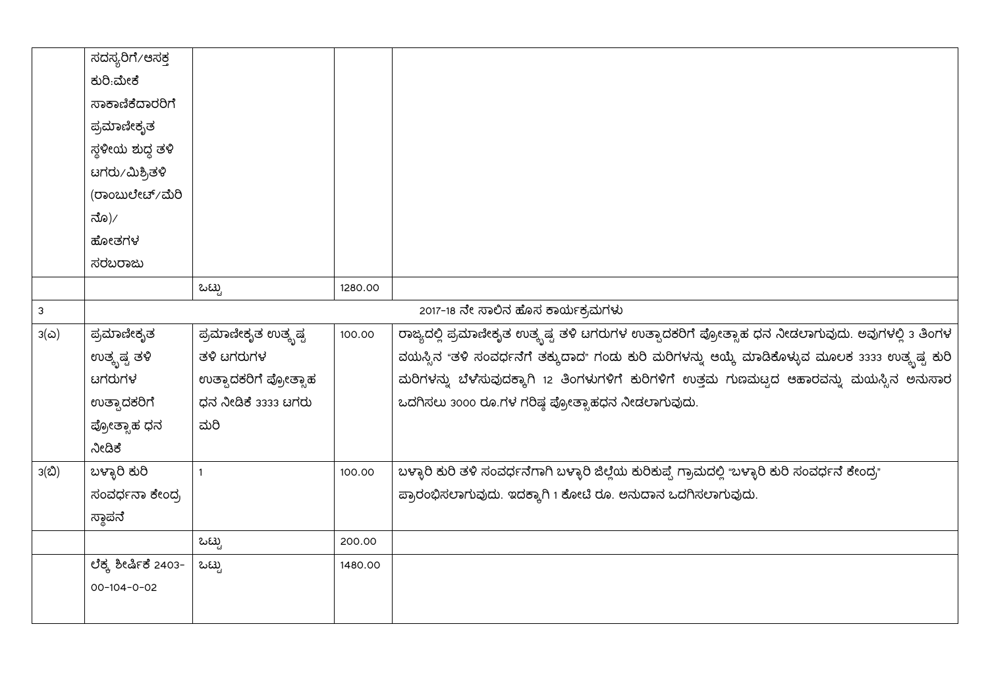|              | ಸದಸ್ಯರಿಗೆ⁄ಆಸಕ್ತ      |                       |         |                                                                                                    |
|--------------|----------------------|-----------------------|---------|----------------------------------------------------------------------------------------------------|
|              | ಕುರಿ:ಮೇಕೆ            |                       |         |                                                                                                    |
|              | ಸಾಕಾಣಿಕೆದಾರರಿಗೆ      |                       |         |                                                                                                    |
|              | ಪ್ರಮಾಣೀಕೃತ           |                       |         |                                                                                                    |
|              | ಸ್ಥಳೀಯ ಶುದ್ಧ ತಳಿ     |                       |         |                                                                                                    |
|              | ಟಗರು⁄ಮಿಶ್ರಿತಳಿ       |                       |         |                                                                                                    |
|              | (ರಾಂಬುಲೇಟ್/ಮೆರಿ      |                       |         |                                                                                                    |
|              | ನೊ)⁄                 |                       |         |                                                                                                    |
|              | ಹೋತಗಳ                |                       |         |                                                                                                    |
|              | ಸರಬರಾಜು              |                       |         |                                                                                                    |
|              |                      | ಒಟ್ಟು                 | 1280.00 |                                                                                                    |
| $\mathbf{3}$ |                      |                       |         | 2017-18 ನೇ ಸಾಲಿನ ಹೊಸ ಕಾರ್ಯಕ್ರಮಗಳು                                                                  |
| $3(\omega)$  | ಪ್ರಮಾಣೀಕೃತ           | ಪ್ರಮಾಣೀಕೃತ ಉತ್ಕೃಷ್ಟ   | 100.00  | ರಾಜ್ಯದಲ್ಲಿ ಪ್ರಮಾಣೀಕೃತ ಉತ್ಕೃಷ್ಟ ತಳಿ ಟಗರುಗಳ ಉತ್ಪಾದಕರಿಗೆ ಪ್ರೋತ್ಸಾಹ ಧನ ನೀಡಲಾಗುವುದು. ಅವುಗಳಲ್ಲಿ 3 ತಿಂಗಳ  |
|              | ಉತ್ಕೃಷ್ಟ ತಳಿ         | ತಳಿ ಟಗರುಗಳ            |         | ವಯಸ್ಸಿನ "ತಳಿ ಸಂವರ್ಧನೆಗೆ ತಕ್ಕುದಾದ" ಗಂಡು ಕುರಿ ಮರಿಗಳನ್ನು ಆಯ್ಕೆ ಮಾಡಿಕೊಳ್ಳುವ ಮೂಲಕ 3333 ಉತ್ಕೃಷ್ಟ ಕುರಿ    |
|              | ಟಗರುಗಳ               | ಉತ್ಸಾದಕರಿಗೆ ಪ್ರೋತ್ಸಾಹ |         | ಮರಿಗಳನ್ನು ಬೆಳೆಸುವುದಕ್ಕಾಗಿ 12 ತಿಂಗಳುಗಳಿಗೆ ಕುರಿಗಳಿಗೆ ಉತ್ತಮ ಗುಣಮಟ್ಟದ ಆಹಾರವನ್ನು ಮಯಸ್ಸಿನ ಅನುಸಾರ         |
|              | ಉತ್ಸಾದಕರಿಗೆ          | ಧನ ನೀಡಿಕೆ 3333 ಟಗರು   |         | ಒದಗಿಸಲು 3000 ರೂ.ಗಳ ಗರಿಷ್ಠ ಪ್ರೋತ್ಸಾಹಧನ ನೀಡಲಾಗುವುದು.                                                 |
|              | ಪ್ರೋತ್ಸಾಹ ಧನ         | ಮರಿ                   |         |                                                                                                    |
|              | ನೀಡಿಕೆ               |                       |         |                                                                                                    |
| 3(ಬಿ)        | ಬಳ್ಳಾರಿ ಕುರಿ         | $\mathbf{1}$          | 100.00  | ಬಳ್ಳಾರಿ ಕುರಿ ತಳಿ ಸಂವರ್ಧನೆಗಾಗಿ ಬಳ್ಳಾರಿ ಜಿಲ್ಲೆಯ ಕುರಿಕುಪ್ಪೆ ಗ್ರಾಮದಲ್ಲಿ "ಬಳ್ಳಾರಿ ಕುರಿ ಸಂವರ್ಧನೆ ಕೇಂದ್ರ" |
|              | ಸಂವರ್ಧನಾ ಕೇಂದ್ರ      |                       |         | ಪ್ರಾರಂಭಿಸಲಾಗುವುದು. ಇದಕ್ಕಾಗಿ 1 ಕೋಟಿ ರೂ. ಅನುದಾನ ಒದಗಿಸಲಾಗುವುದು.                                       |
|              | ಸ್ಥಾಪನೆ              |                       |         |                                                                                                    |
|              |                      | ಒಟ್ಟು                 | 200.00  |                                                                                                    |
|              | ಲೆಕ್ಕ ಶೀರ್ಷಿಕೆ 2403– | ಒಟ್ಟು                 | 1480.00 |                                                                                                    |
|              | 00-104-0-02          |                       |         |                                                                                                    |
|              |                      |                       |         |                                                                                                    |
|              |                      |                       |         |                                                                                                    |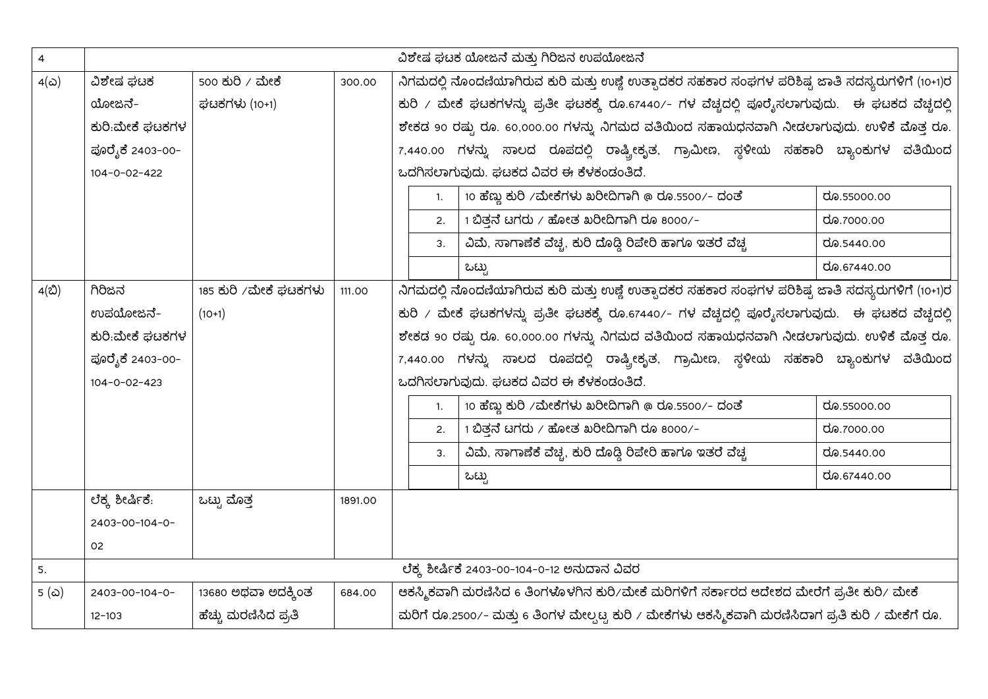| $\overline{\mathbf{4}}$ | ವಿಶೇಷ ಘಟಕ ಯೋಜನೆ ಮತ್ತು ಗಿರಿಜನ ಉಪಯೋಜನೆ |                        |         |                                                                                          |                                                                                                     |             |  |  |  |
|-------------------------|--------------------------------------|------------------------|---------|------------------------------------------------------------------------------------------|-----------------------------------------------------------------------------------------------------|-------------|--|--|--|
| $4(\infty)$             | ವಿಶೇಷ ಘಟಕ                            | 500 ಕುರಿ <i>/</i> ಮೇಕೆ | 300.00  |                                                                                          | ನಿಗಮದಲ್ಲಿ ನೊಂದಣಿಯಾಗಿರುವ ಕುರಿ ಮತ್ತು ಉಣ್ಣೆ ಉತ್ಪಾದಕರ ಸಹಕಾರ ಸಂಘಗಳ ಪರಿಶಿಷ್ಟ ಜಾತಿ ಸದಸ್ಯರುಗಳಿಗೆ (10+1)ರ    |             |  |  |  |
|                         | ಯೋಜನೆ-                               | ಘಟಕಗಳು (10+1)          |         |                                                                                          | ಕುರಿ / ಮೇಕೆ ಘಟಕಗಳನ್ನು ಪ್ರತೀ ಘಟಕಕ್ಕೆ ರೂ.67440/- ಗಳ ವೆಚ್ಚದಲ್ಲಿ ಪೂರೈಸಲಾಗುವುದು. ಈ ಘಟಕದ ವೆಚ್ಚದಲ್ಲಿ       |             |  |  |  |
|                         | ಕುರಿ:ಮೇಕೆ ಘಟಕಗಳ                      |                        |         |                                                                                          | ಶೇಕಡ 90 ರಷ್ಟು ರೂ. 60,000.00 ಗಳನ್ನು ನಿಗಮದ ವತಿಯಿಂದ ಸಹಾಯಧನವಾಗಿ ನೀಡಲಾಗುವುದು. ಉಳಿಕೆ ಮೊತ್ತ ರೂ.            |             |  |  |  |
|                         | ಪೂರೈಕೆ 2403-00-                      |                        |         |                                                                                          | 7,440.00 ಗಳನ್ನು ಸಾಲದ ರೂಪದಲ್ಲಿ ರಾಷ್ಟ್ರೀಕೃತ, ಗ್ರಾಮೀಣ, ಸ್ಥಳೀಯ ಸಹಕಾರಿ ಬ್ಯಾಂಕುಗಳ ವತಿಯಿಂದ                 |             |  |  |  |
|                         | $104 - 0 - 02 - 422$                 |                        |         |                                                                                          | ಒದಗಿಸಲಾಗುವುದು. ಘಟಕದ ವಿವರ ಈ ಕೆಳಕಂಡಂತಿದೆ.                                                             |             |  |  |  |
|                         |                                      |                        |         | 1.                                                                                       | $10$ ಹೆಣ್ಣು ಕುರಿ /ಮೇಕೆಗಳು ಖರೀದಿಗಾಗಿ @ ರೂ.5500/- ದಂತೆ                                                | ರೂ.55000.00 |  |  |  |
|                         |                                      |                        |         | 2.                                                                                       | $1$ ಬಿತ್ತನೆ ಟಗರು / ಹೋತ ಖರೀದಿಗಾಗಿ ರೂ 8000/-                                                          | ರೂ.7000.00  |  |  |  |
|                         |                                      |                        |         | 3.                                                                                       | ವಿಮೆ, ಸಾಗಾಣೆಕೆ ವೆಚ್ಚ, ಕುರಿ ದೊಡ್ಡಿ ರಿಪೇರಿ ಹಾಗೂ ಇತರೆ ವೆಚ್ಚ                                            | ರೂ.5440.00  |  |  |  |
|                         |                                      |                        |         |                                                                                          | ಒಟ್ಟು                                                                                               | ರೂ.67440.00 |  |  |  |
| 4(ಬಿ)                   | ಗಿರಿಜನ                               | 185 ಕುರಿ ⁄ಮೇಕೆ ಘಟಕಗಳು  | 111.00  |                                                                                          | ನಿಗಮದಲ್ಲಿ ನೊಂದಣಿಯಾಗಿರುವ ಕುರಿ ಮತ್ತು ಉಣ್ಣೆ ಉತ್ಸಾದಕರ ಸಹಕಾರ ಸಂಘಗಳ ಪರಿಶಿಷ್ಟ ಜಾತಿ ಸದಸ್ಯರುಗಳಿಗೆ (10+1)ರ    |             |  |  |  |
|                         | ಉಪಯೋಜನೆ–                             | $(10+1)$               |         |                                                                                          | ಕುರಿ / ಮೇಕೆ ಘಟಕಗಳನ್ನು ಪ್ರತೀ ಘಟಕಕ್ಕೆ ರೂ.67440/- ಗಳ ವೆಚ್ಚದಲ್ಲಿ ಪೂರೈಸಲಾಗುವುದು. ಈ ಘಟಕದ ವೆಚ್ಚದಲ್ಲಿ       |             |  |  |  |
|                         | ಕುರಿ:ಮೇಕೆ ಘಟಕಗಳ                      |                        |         | ಶೇಕಡ 90 ರಷ್ಟು ರೂ. 60,000.00 ಗಳನ್ನು ನಿಗಮದ ವತಿಯಿಂದ ಸಹಾಯಧನವಾಗಿ ನೀಡಲಾಗುವುದು. ಉಳಿಕೆ ಮೊತ್ತ ರೂ. |                                                                                                     |             |  |  |  |
|                         | ಪೂರೈಕೆ 2403-00-                      |                        |         |                                                                                          | 7,440.00 ಗಳನ್ನು ಸಾಲದ ರೂಪದಲ್ಲಿ ರಾಷ್ಟ್ರೀಕೃತ, ಗ್ರಾಮೀಣ, ಸ್ಥಳೀಯ ಸಹಕಾರಿ ಬ್ಯಾಂಕುಗಳ ವತಿಯಿಂದ                 |             |  |  |  |
|                         | $104 - 0 - 02 - 423$                 |                        |         |                                                                                          | ಒದಗಿಸಲಾಗುವುದು. ಘಟಕದ ವಿವರ ಈ ಕೆಳಕಂಡಂತಿದೆ.                                                             |             |  |  |  |
|                         |                                      |                        |         | 1.                                                                                       | 10 ಹೆಣ್ಣು ಕುರಿ /ಮೇಕೆಗಳು ಖರೀದಿಗಾಗಿ @ ರೂ.5500/- ದಂತೆ                                                  | ರೂ.55000.00 |  |  |  |
|                         |                                      |                        |         | 2.                                                                                       | $1$ ಬಿತ್ತನೆ ಟಗರು / ಹೋತ ಖರೀದಿಗಾಗಿ ರೂ 8000/-                                                          | ರೂ.7000.00  |  |  |  |
|                         |                                      |                        |         | 3.                                                                                       | ವಿಮೆ, ಸಾಗಾಣೆಕೆ ವೆಚ್ಚ, ಕುರಿ ದೊಡ್ಡಿ ರಿಪೇರಿ ಹಾಗೂ ಇತರೆ ವೆಚ್ಚ                                            | ರೂ.5440.00  |  |  |  |
|                         |                                      |                        |         |                                                                                          | ಒಟ್ಟು                                                                                               | ರೂ.67440.00 |  |  |  |
|                         | ಲೆಕ್ಕ ಶೀರ್ಷಿಕೆ.                      | ಒಟ್ಟು ಮೊತ್ತ            | 1891.00 |                                                                                          |                                                                                                     |             |  |  |  |
|                         | 2403-00-104-0-                       |                        |         |                                                                                          |                                                                                                     |             |  |  |  |
|                         | 02                                   |                        |         |                                                                                          |                                                                                                     |             |  |  |  |
| 5.                      |                                      |                        |         |                                                                                          | ಲೆಕ್ಕ್ಲೆ ಶೀರ್ಷಿಕೆ 2403-00-104-0-12 ಅನುದಾನ ವಿವರ                                                      |             |  |  |  |
| 5 (ಎ)                   | 2403-00-104-0-                       | 13680 ಅಥವಾ ಅದಕ್ಕಿಂತ    | 684.00  |                                                                                          | ಆಕಸ್ಮಿಕವಾಗಿ ಮರಣಿಸಿದ 6 ತಿಂಗಳೂಳಗಿನ ಕುರಿ∕ಮೇಕೆ ಮರಿಗಳಿಗೆ ಸರ್ಕಾರದ ಆದೇಶದ ಮೇರೆಗೆ ಪ್ರತೀ ಕುರಿ∕ ಮೇಕೆ           |             |  |  |  |
|                         | $12 - 103$                           | ಹೆಚ್ಚು ಮರಣಿಸಿದ ಪ್ರತಿ   |         |                                                                                          | ಮರಿಗೆ ರೂ.2500/- ಮತ್ತು 6 ತಿಂಗಳ ಮೇಲ್ಪಟ್ಟ ಕುರಿ / ಮೇಕೆಗಳು ಆಕಸ್ಮಿಕವಾಗಿ ಮರಣಿಸಿದಾಗ ಪ್ರತಿ ಕುರಿ / ಮೇಕೆಗೆ ರೂ. |             |  |  |  |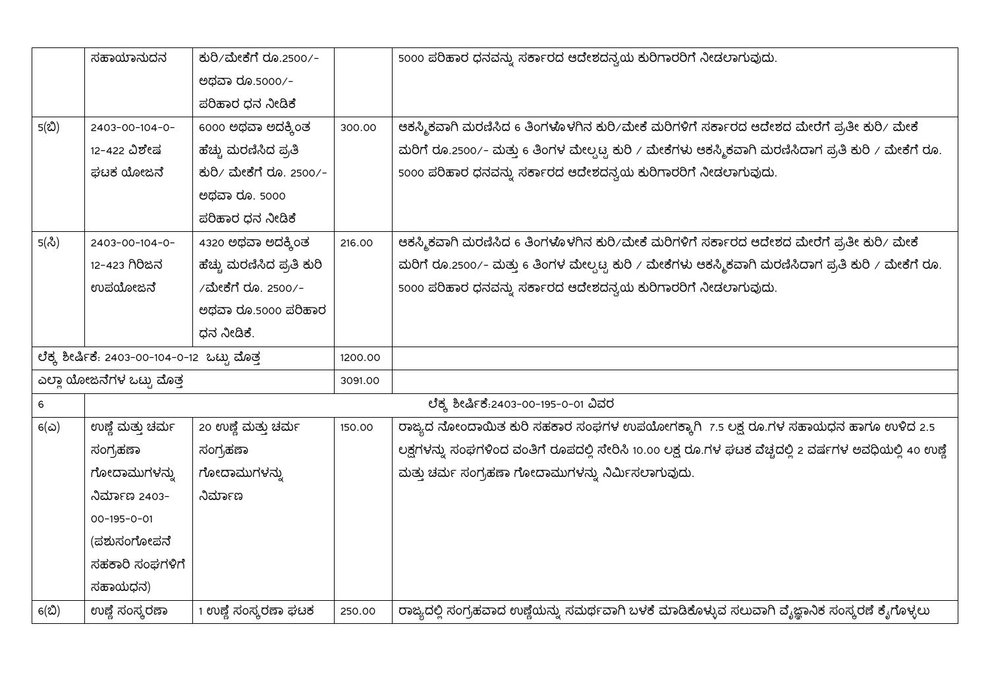|             | ಸಹಾಯಾನುದನ                                    | ಕುರಿ/ಮೇಕೆಗೆ ರೂ.2500/-     |         | 5000 ಪರಿಹಾರ ಧನವನ್ನು ಸರ್ಕಾರದ ಆದೇಶದನ್ವಯ ಕುರಿಗಾರರಿಗೆ ನೀಡಲಾಗುವುದು.                                         |
|-------------|----------------------------------------------|---------------------------|---------|--------------------------------------------------------------------------------------------------------|
|             |                                              | ಅಥವಾ ರೂ.5000/-            |         |                                                                                                        |
|             |                                              | ಪರಿಹಾರ ಧನ ನೀಡಿಕೆ          |         |                                                                                                        |
| 5(ඪ)        | 2403-00-104-0-                               | 6000 ಅಥವಾ ಅದಕ್ಕಿಂತ        | 300.00  | ಆಕಸ್ಮಿಕವಾಗಿ ಮರಣಿಸಿದ 6 ತಿಂಗಳೊಳಗಿನ ಕುರಿ∕ಮೇಕೆ ಮರಿಗಳಿಗೆ ಸರ್ಕಾರದ ಆದೇಶದ ಮೇರೆಗೆ ಪ್ರತೀ ಕುರಿ∕ ಮೇಕೆ              |
|             | 12-422 ವಿಶೇಷ                                 | ಹೆಚ್ಚು ಮರಣಿಸಿದ ಪ್ರತಿ      |         | ಮರಿಗೆ ರೂ.2500/- ಮತ್ತು 6 ತಿಂಗಳ ಮೇಲ್ಪಟ್ಟ ಕುರಿ / ಮೇಕೆಗಳು ಆಕಸ್ಮಿಕವಾಗಿ ಮರಣಿಸಿದಾಗ ಪ್ರತಿ ಕುರಿ / ಮೇಕೆಗೆ ರೂ.    |
|             | ಘಟಕ ಯೋಜನೆ                                    | ಕುರಿ/ ಮೇಕೆಗೆ ರೂ. 2500/-   |         | 5000 ಪರಿಹಾರ ಧನವನ್ನು ಸರ್ಕಾರದ ಆದೇಶದನ್ವಯ ಕುರಿಗಾರರಿಗೆ ನೀಡಲಾಗುವುದು.                                         |
|             |                                              | ಅಥವಾ ರೂ. 5000             |         |                                                                                                        |
|             |                                              | ಪರಿಹಾರ ಧನ ನೀಡಿಕೆ          |         |                                                                                                        |
| 5(సి)       | 2403-00-104-0-                               | 4320 ಅಥವಾ ಅದಕ್ಕಿಂತ        | 216.00  | ಆಕಸ್ಮಿಕವಾಗಿ ಮರಣಿಸಿದ 6 ತಿಂಗಳೊಳಗಿನ ಕುರಿ∕ಮೇಕೆ ಮರಿಗಳಿಗೆ ಸರ್ಕಾರದ ಆದೇಶದ ಮೇರೆಗೆ ಪ್ರತೀ ಕುರಿ∕ ಮೇಕೆ              |
|             | 12-423 ಗಿರಿಜನ                                | ಹೆಚ್ಚು ಮರಣಿಸಿದ ಪ್ರತಿ ಕುರಿ |         | ಮರಿಗೆ ರೂ.2500/– ಮತ್ತು 6 ತಿಂಗಳ ಮೇಲ್ಪಟ್ಟ ಕುರಿ / ಮೇಕೆಗಳು ಆಕಸ್ಮಿಕವಾಗಿ ಮರಣಿಸಿದಾಗ ಪ್ರತಿ ಕುರಿ / ಮೇಕೆಗೆ ರೂ.    |
|             | ಉಪಯೋಜನೆ                                      | /ಮೇಕೆಗೆ ರೂ. 2500/-        |         | 5000 ಪರಿಹಾರ ಧನವನ್ನು ಸರ್ಕಾರದ ಆದೇಶದನ್ವಯ ಕುರಿಗಾರರಿಗೆ ನೀಡಲಾಗುವುದು.                                         |
|             |                                              | ಅಥವಾ ರೂ.5000 ಪರಿಹಾರ       |         |                                                                                                        |
|             |                                              | ಧನ ನೀಡಿಕೆ.                |         |                                                                                                        |
|             | ಲೆಕ್ಕ ಶೀರ್ಷಿಕೆ: 2403-00-104-0-12 ಒಟ್ಟು ಮೊತ್ತ |                           | 1200.00 |                                                                                                        |
|             | ಎಲ್ಲಾ ಯೋಜನೆಗಳ ಒಟ್ಟು ಮೊತ್ತ                    |                           | 3091.00 |                                                                                                        |
| $\,$ 6 $\,$ |                                              |                           |         | ಲೆಕ್ಕ್ಲ ಶೀರ್ಷಿಕೆ:2403-00-195-0-01 ವಿವರ                                                                 |
| 6(ධ)        | ಉಣ್ಣೆ ಮತ್ತು ಚರ್ಮ                             | 20 ಉಣ್ಣೆ ಮತ್ತು ಚರ್ಮ       | 150.00  | ರಾಜ್ಯದ ನೋಂದಾಯಿತ ಕುರಿ ಸಹಕಾರ ಸಂಘಗಳ ಉಪಯೋಗಕ್ಕಾಗಿ 7.5 ಲಕ್ಷ ರೂ.ಗಳ ಸಹಾಯಧನ ಹಾಗೂ ಉಳಿದ 2.5                       |
|             | ಸಂಗ್ರಹಣಾ                                     | ಸಂಗ್ರಹಣಾ                  |         | ಲಕ್ಷಗಳನ್ನು ಸಂಘಗಳಿಂದ ವಂತಿಗೆ ರೂಪದಲ್ಲಿ ಸೇರಿಸಿ 10.00 ಲಕ್ಷ ರೂ.ಗಳ ಘಟಕ ವೆಚ್ಚದಲ್ಲಿ 2 ವರ್ಷಗಳ ಅವಧಿಯಲ್ಲಿ 40 ಉಣ್ಣೆ |
|             | ಗೋದಾಮುಗಳನ್ನು                                 | ಗೋದಾಮುಗಳನ್ನು              |         | ಮತ್ತು ಚರ್ಮ ಸಂಗ್ರಹಣಾ ಗೋದಾಮುಗಳನ್ನು ನಿರ್ಮಿಸಲಾಗುವುದು.                                                      |
|             | ನಿರ್ಮಾಣ 2403-                                | ನಿರ್ಮಾಣ                   |         |                                                                                                        |
|             | $00-195-0-01$                                |                           |         |                                                                                                        |
|             | (ಪಶುಸಂಗೋಪನೆ                                  |                           |         |                                                                                                        |
|             | ಸಹಕಾರಿ ಸಂಘಗಳಿಗೆ                              |                           |         |                                                                                                        |
|             | ಸಹಾಯಧನ)                                      |                           |         |                                                                                                        |
| 6(ඪ)        | ಉಣ್ಣೆ ಸಂಸ್ಕ್ರರಣಾ                             | 1 ಉಣ್ಣೆ ಸಂಸ್ಕರಣಾ ಘಟಕ      | 250.00  | ರಾಜ್ಯದಲ್ಲಿ ಸಂಗ್ರಹವಾದ ಉಣ್ಣೆಯನ್ನು ಸಮರ್ಥವಾಗಿ ಬಳಕೆ ಮಾಡಿಕೊಳ್ಳುವ ಸಲುವಾಗಿ ವ್ಯೆಜ್ಞಾನಿಕ ಸಂಸ್ಕರಣೆ ಕೈಗೊಳ್ಳಲು      |